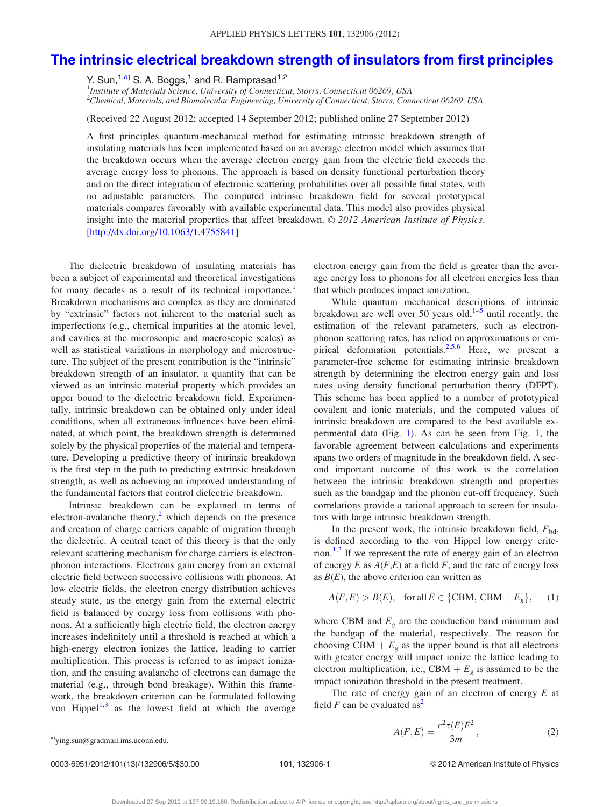## <span id="page-0-0"></span>[The intrinsic electrical breakdown strength of insulators from first principles](http://dx.doi.org/10.1063/1.4755841)

Y. Sun,<sup>1,a)</sup> S. A. Boggs,<sup>1</sup> and R. Ramprasad<sup>1,2</sup>

<sup>1</sup>Institute of Materials Science, University of Connecticut, Storrs, Connecticut 06269, USA  $^2$ Chemical, Materials, and Biomolecular Engineering, University of Connecticut, Storrs, Connecticut 06269, USA

(Received 22 August 2012; accepted 14 September 2012; published online 27 September 2012)

A first principles quantum-mechanical method for estimating intrinsic breakdown strength of insulating materials has been implemented based on an average electron model which assumes that the breakdown occurs when the average electron energy gain from the electric field exceeds the average energy loss to phonons. The approach is based on density functional perturbation theory and on the direct integration of electronic scattering probabilities over all possible final states, with no adjustable parameters. The computed intrinsic breakdown field for several prototypical materials compares favorably with available experimental data. This model also provides physical insight into the material properties that affect breakdown. © 2012 American Institute of Physics. [\[http://dx.doi.org/10.1063/1.4755841](http://dx.doi.org/10.1063/1.4755841)]

The dielectric breakdown of insulating materials has been a subject of experimental and theoretical investigations for many decades as a result of its technical importance.<sup>[1](#page-4-0)</sup> Breakdown mechanisms are complex as they are dominated by "extrinsic" factors not inherent to the material such as imperfections (e.g., chemical impurities at the atomic level, and cavities at the microscopic and macroscopic scales) as well as statistical variations in morphology and microstructure. The subject of the present contribution is the "intrinsic" breakdown strength of an insulator, a quantity that can be viewed as an intrinsic material property which provides an upper bound to the dielectric breakdown field. Experimentally, intrinsic breakdown can be obtained only under ideal conditions, when all extraneous influences have been eliminated, at which point, the breakdown strength is determined solely by the physical properties of the material and temperature. Developing a predictive theory of intrinsic breakdown is the first step in the path to predicting extrinsic breakdown strength, as well as achieving an improved understanding of the fundamental factors that control dielectric breakdown.

Intrinsic breakdown can be explained in terms of electron-avalanche theory, $<sup>2</sup>$  $<sup>2</sup>$  $<sup>2</sup>$  which depends on the presence</sup> and creation of charge carriers capable of migration through the dielectric. A central tenet of this theory is that the only relevant scattering mechanism for charge carriers is electronphonon interactions. Electrons gain energy from an external electric field between successive collisions with phonons. At low electric fields, the electron energy distribution achieves steady state, as the energy gain from the external electric field is balanced by energy loss from collisions with phonons. At a sufficiently high electric field, the electron energy increases indefinitely until a threshold is reached at which a high-energy electron ionizes the lattice, leading to carrier multiplication. This process is referred to as impact ionization, and the ensuing avalanche of electrons can damage the material (e.g., through bond breakage). Within this framework, the breakdown criterion can be formulated following von Hippel $1,3$  $1,3$  $1,3$  as the lowest field at which the average electron energy gain from the field is greater than the average energy loss to phonons for all electron energies less than that which produces impact ionization.

While quantum mechanical descriptions of intrinsic breakdown are well over 50 years old, $1-5$  until recently, the estimation of the relevant parameters, such as electronphonon scattering rates, has relied on approximations or empirical deformation potentials.<sup>2,5,6</sup> Here, we present a parameter-free scheme for estimating intrinsic breakdown strength by determining the electron energy gain and loss rates using density functional perturbation theory (DFPT). This scheme has been applied to a number of prototypical covalent and ionic materials, and the computed values of intrinsic breakdown are compared to the best available experimental data (Fig. [1](#page-1-0)). As can be seen from Fig. [1,](#page-1-0) the favorable agreement between calculations and experiments spans two orders of magnitude in the breakdown field. A second important outcome of this work is the correlation between the intrinsic breakdown strength and properties such as the bandgap and the phonon cut-off frequency. Such correlations provide a rational approach to screen for insulators with large intrinsic breakdown strength.

In the present work, the intrinsic breakdown field,  $F_{\text{bd}}$ , is defined according to the von Hippel low energy crite-rion.<sup>[1,3](#page-4-0)</sup> If we represent the rate of energy gain of an electron of energy  $E$  as  $A(F,E)$  at a field  $F$ , and the rate of energy loss as  $B(E)$ , the above criterion can written as

$$
A(F, E) > B(E), \text{ for all } E \in \{CBM, CBM + E_g\}, \quad (1)
$$

where CBM and  $E<sub>g</sub>$  are the conduction band minimum and the bandgap of the material, respectively. The reason for choosing CBM  $+ E_g$  as the upper bound is that all electrons with greater energy will impact ionize the lattice leading to electron multiplication, i.e., CBM  $+ E<sub>g</sub>$  is assumed to be the impact ionization threshold in the present treatment.

The rate of energy gain of an electron of energy  $E$  at field F can be evaluated as<sup>[2](#page-4-0)</sup>

$$
A(F, E) = \frac{e^2 \tau(E) F^2}{3m},\tag{2}
$$

a)[ying.sun@gradmail.ims.uconn.edu](mailto:ying.sun@gradmail.ims.uconn.edu).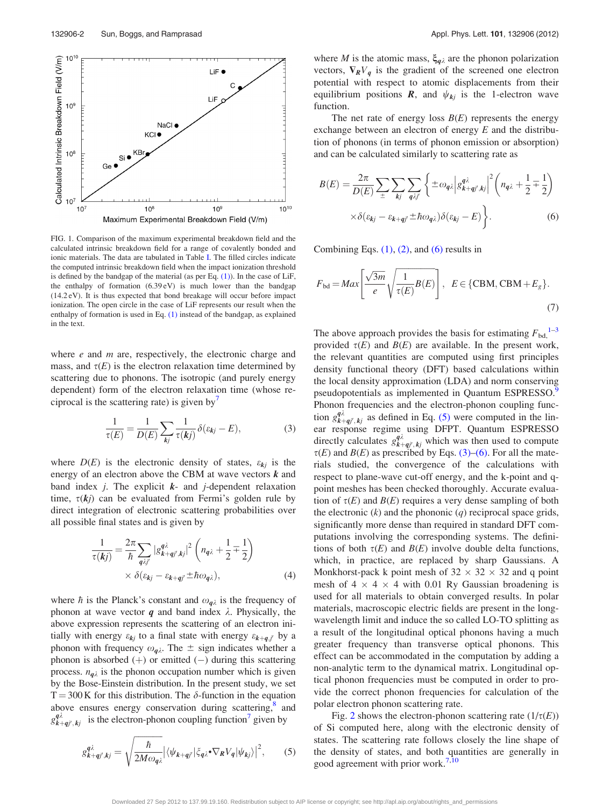<span id="page-1-0"></span>

FIG. 1. Comparison of the maximum experimental breakdown field and the calculated intrinsic breakdown field for a range of covalently bonded and ionic materials. The data are tabulated in Table [I](#page-2-0). The filled circles indicate the computed intrinsic breakdown field when the impact ionization threshold is defined by the bandgap of the material (as per Eq.  $(1)$ ). In the case of LiF, the enthalpy of formation (6.39 eV) is much lower than the bandgap (14.2 eV). It is thus expected that bond breakage will occur before impact ionization. The open circle in the case of LiF represents our result when the enthalpy of formation is used in Eq. [\(1\)](#page-0-0) instead of the bandgap, as explained in the text.

where  $e$  and  $m$  are, respectively, the electronic charge and mass, and  $\tau(E)$  is the electron relaxation time determined by scattering due to phonons. The isotropic (and purely energy dependent) form of the electron relaxation time (whose re-ciprocal is the scattering rate) is given by<sup>[7](#page-4-0)</sup>

$$
\frac{1}{\tau(E)} = \frac{1}{D(E)} \sum_{kj} \frac{1}{\tau(kj)} \delta(\varepsilon_{kj} - E), \tag{3}
$$

where  $D(E)$  is the electronic density of states,  $\varepsilon_{kj}$  is the energy of an electron above the CBM at wave vectors  $k$  and band index *j*. The explicit  $k$ - and *j*-dependent relaxation time,  $\tau(kj)$  can be evaluated from Fermi's golden rule by direct integration of electronic scattering probabilities over all possible final states and is given by

$$
\frac{1}{\tau(kj)} = \frac{2\pi}{\hbar} \sum_{q\lambda j'} |g_{k+qj',kj}^{q\lambda}|^2 \left(n_{q\lambda} + \frac{1}{2} \mp \frac{1}{2}\right) \times \delta(\varepsilon_{kj} - \varepsilon_{k+qj'} \pm \hbar \omega_{q\lambda}), \tag{4}
$$

where  $\hbar$  is the Planck's constant and  $\omega_{q\lambda}$  is the frequency of phonon at wave vector  $q$  and band index  $\lambda$ . Physically, the above expression represents the scattering of an electron initially with energy  $\varepsilon_{kj}$  to a final state with energy  $\varepsilon_{k+q,j'}$  by a phonon with frequency  $\omega_{\mathbf{q}\lambda}$ . The  $\pm$  sign indicates whether a phonon is absorbed  $(+)$  or emitted  $(-)$  during this scattering process.  $n_{q\lambda}$  is the phonon occupation number which is given by the Bose-Einstein distribution. In the present study, we set  $T = 300$  K for this distribution. The  $\delta$ -function in the equation above ensures energy conservation during scattering,<sup>[8](#page-4-0)</sup> and  $g_{k+qj',kj}^{q\lambda}$  is the electron-phonon coupling function<sup>7</sup> given by

$$
g_{k+qj',kj}^{q\lambda} = \sqrt{\frac{\hbar}{2M\omega_{q\lambda}}} \left| \langle \psi_{k+qj'} | \xi_{q\lambda} \bullet \nabla_R V_q | \psi_{kj} \rangle \right|^2, \qquad (5)
$$

where *M* is the atomic mass,  $\xi_{q\lambda}$  are the phonon polarization vectors,  $\nabla_R V_q$  is the gradient of the screened one electron potential with respect to atomic displacements from their equilibrium positions  $\mathbf{R}$ , and  $\psi_{kj}$  is the 1-electron wave function.

The net rate of energy loss  $B(E)$  represents the energy exchange between an electron of energy E and the distribution of phonons (in terms of phonon emission or absorption) and can be calculated similarly to scattering rate as

$$
B(E) = \frac{2\pi}{D(E)} \sum_{\pm} \sum_{kj} \sum_{q\lambda j'} \left\{ \pm \omega_{q\lambda} \left| g_{k+qj',kj}^{q\lambda} \right|^2 \left( n_{q\lambda} + \frac{1}{2} \mp \frac{1}{2} \right) \right\}
$$

$$
\times \delta(\varepsilon_{kj} - \varepsilon_{k+qj'} \pm \hbar \omega_{q\lambda}) \delta(\varepsilon_{kj} - E) \right\}.
$$
 (6)

Combining Eqs.  $(1)$ ,  $(2)$ , and  $(6)$  results in

$$
F_{\text{bd}} = Max \left[ \frac{\sqrt{3m}}{e} \sqrt{\frac{1}{\tau(E)} B(E)} \right], \quad E \in \{CBM, CBM + E_g\}. \tag{7}
$$

The above approach provides the basis for estimating  $F_{\text{bd}}$ ,  $^{1-3}$ provided  $\tau(E)$  and  $B(E)$  are available. In the present work, the relevant quantities are computed using first principles density functional theory (DFT) based calculations within the local density approximation (LDA) and norm conserving pseudopotentials as implemented in Quantum ESPRESSO.<sup>9</sup> Phonon frequencies and the electron-phonon coupling function  $g_{k+qj',kj}^{q\lambda}$  as defined in Eq. (5) were computed in the linear response regime using DFPT. Quantum ESPRESSO directly calculates  $g_{k+qj',kj}^{q\lambda}$  which was then used to compute  $\tau(E)$  and  $B(E)$  as prescribed by Eqs. (3)–(6). For all the materials studied, the convergence of the calculations with respect to plane-wave cut-off energy, and the k-point and qpoint meshes has been checked thoroughly. Accurate evaluation of  $\tau(E)$  and  $B(E)$  requires a very dense sampling of both the electronic  $(k)$  and the phononic  $(q)$  reciprocal space grids, significantly more dense than required in standard DFT computations involving the corresponding systems. The definitions of both  $\tau(E)$  and  $B(E)$  involve double delta functions, which, in practice, are replaced by sharp Gaussians. A Monkhorst-pack k point mesh of  $32 \times 32 \times 32$  and q point mesh of  $4 \times 4 \times 4$  with 0.01 Ry Gaussian broadening is used for all materials to obtain converged results. In polar materials, macroscopic electric fields are present in the longwavelength limit and induce the so called LO-TO splitting as a result of the longitudinal optical phonons having a much greater frequency than transverse optical phonons. This effect can be accommodated in the computation by adding a non-analytic term to the dynamical matrix. Longitudinal optical phonon frequencies must be computed in order to provide the correct phonon frequencies for calculation of the polar electron phonon scattering rate.

Fig. [2](#page-2-0) shows the electron-phonon scattering rate  $(1/\tau(E))$ of Si computed here, along with the electronic density of states. The scattering rate follows closely the line shape of the density of states, and both quantities are generally in good agreement with prior work.<sup>7,[10](#page-4-0)</sup>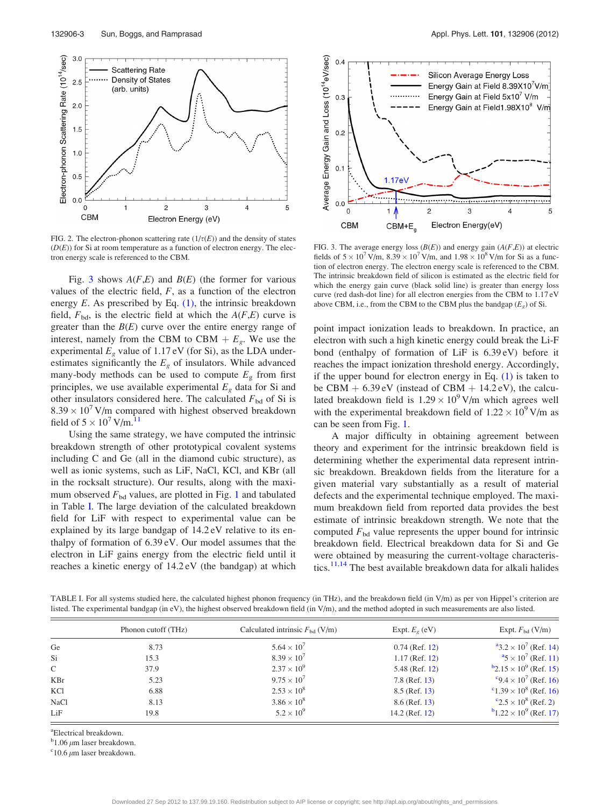<span id="page-2-0"></span>

FIG. 2. The electron-phonon scattering rate  $(1/\tau(E))$  and the density of states  $(D(E))$  for Si at room temperature as a function of electron energy. The electron energy scale is referenced to the CBM.

Fig. 3 shows  $A(F,E)$  and  $B(E)$  (the former for various values of the electric field,  $F$ , as a function of the electron energy  $E$ . As prescribed by Eq.  $(1)$ , the intrinsic breakdown field,  $F_{\text{bd}}$ , is the electric field at which the  $A(F,E)$  curve is greater than the  $B(E)$  curve over the entire energy range of interest, namely from the CBM to CBM  $+ E_g$ . We use the experimental  $E<sub>g</sub>$  value of 1.17 eV (for Si), as the LDA underestimates significantly the  $E<sub>g</sub>$  of insulators. While advanced many-body methods can be used to compute  $E<sub>g</sub>$  from first principles, we use available experimental  $E<sub>g</sub>$  data for Si and other insulators considered here. The calculated  $F_{\text{bd}}$  of Si is  $8.39 \times 10^7$  V/m compared with highest observed breakdown field of  $5 \times 10^7$  V/m.<sup>[11](#page-4-0)</sup>

Using the same strategy, we have computed the intrinsic breakdown strength of other prototypical covalent systems including C and Ge (all in the diamond cubic structure), as well as ionic systems, such as LiF, NaCl, KCl, and KBr (all in the rocksalt structure). Our results, along with the maximum observed  $F_{bd}$  values, are plotted in Fig. [1](#page-1-0) and tabulated in Table I. The large deviation of the calculated breakdown field for LiF with respect to experimental value can be explained by its large bandgap of 14.2 eV relative to its enthalpy of formation of 6.39 eV. Our model assumes that the electron in LiF gains energy from the electric field until it reaches a kinetic energy of 14.2 eV (the bandgap) at which



FIG. 3. The average energy loss  $(B(E))$  and energy gain  $(A(F,E))$  at electric fields of  $5 \times 10^7$  V/m,  $8.39 \times 10^7$  V/m, and  $1.98 \times 10^8$  V/m for Si as a function of electron energy. The electron energy scale is referenced to the CBM. The intrinsic breakdown field of silicon is estimated as the electric field for which the energy gain curve (black solid line) is greater than energy loss curve (red dash-dot line) for all electron energies from the CBM to 1.17 eV above CBM, i.e., from the CBM to the CBM plus the bandgap  $(E_g)$  of Si.

point impact ionization leads to breakdown. In practice, an electron with such a high kinetic energy could break the Li-F bond (enthalpy of formation of LiF is 6.39 eV) before it reaches the impact ionization threshold energy. Accordingly, if the upper bound for electron energy in Eq.  $(1)$  is taken to be CBM  $+ 6.39 \text{ eV}$  (instead of CBM  $+ 14.2 \text{ eV}$ ), the calculated breakdown field is  $1.29 \times 10^9$  V/m which agrees well with the experimental breakdown field of  $1.22 \times 10^9$  V/m as can be seen from Fig. [1](#page-1-0).

A major difficulty in obtaining agreement between theory and experiment for the intrinsic breakdown field is determining whether the experimental data represent intrinsic breakdown. Breakdown fields from the literature for a given material vary substantially as a result of material defects and the experimental technique employed. The maximum breakdown field from reported data provides the best estimate of intrinsic breakdown strength. We note that the computed  $F_{\text{bd}}$  value represents the upper bound for intrinsic breakdown field. Electrical breakdown data for Si and Ge were obtained by measuring the current-voltage characteris-tics.<sup>[11,14](#page-4-0)</sup> The best available breakdown data for alkali halides

TABLE I. For all systems studied here, the calculated highest phonon frequency (in THz), and the breakdown field (in V/m) as per von Hippel's criterion are listed. The experimental bandgap (in eV), the highest observed breakdown field (in V/m), and the method adopted in such measurements are also listed.

|             | Phonon cutoff (THz) | Calculated intrinsic $F_{bd}$ (V/m) | Expt. $E_{\rho}$ (eV) | Expt. $F_{\text{bd}}$ (V/m)                     |
|-------------|---------------------|-------------------------------------|-----------------------|-------------------------------------------------|
| Ge          | 8.73                | $5.64 \times 10^{7}$                | $0.74$ (Ref. 12)      | $^{4}3.2 \times 10^{7}$ (Ref. 14)               |
| Si          | 15.3                | $8.39 \times 10^{7}$                | $1.17$ (Ref. 12)      | $\frac{a_5}{2} \times 10^7$ (Ref. 11)           |
| C           | 37.9                | $2.37 \times 10^{9}$                | 5.48 (Ref. 12)        | $b$ <sub>2.15</sub> × 10 <sup>9</sup> (Ref. 15) |
| <b>KBr</b>  | 5.23                | $9.75 \times 10^{7}$                | $7.8$ (Ref. 13)       | $\degree$ 9.4 × 10 <sup>7</sup> (Ref. 16)       |
| KCl         | 6.88                | $2.53 \times 10^8$                  | $8.5$ (Ref. 13)       | $\degree$ 1.39 × 10 <sup>8</sup> (Ref. 16)      |
| <b>NaCl</b> | 8.13                | $3.86 \times 10^{8}$                | $8.6$ (Ref. 13)       | $\rm ^{c}2.5\times 10^{8}$ (Ref. 2)             |
| LiF         | 19.8                | $5.2 \times 10^{9}$                 | $14.2$ (Ref. 12)      | $b_{1,22} \times 10^{9}$ (Ref. 17)              |

a Electrical breakdown.

<sup>b</sup>1.06  $\mu$ m laser breakdown.

 $c$ 10.6  $\mu$ m laser breakdown.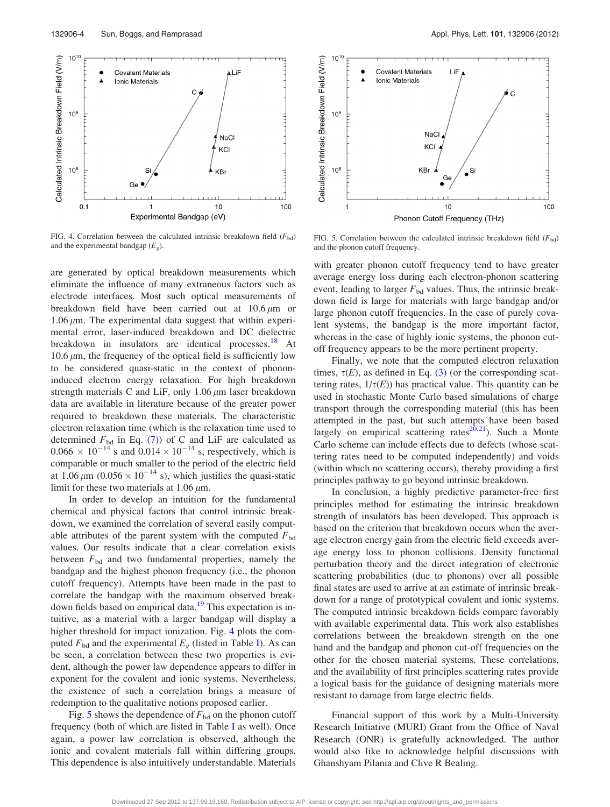

FIG. 4. Correlation between the calculated intrinsic breakdown field  $(F_{bd})$ and the experimental bandgap  $(E_g)$ .

are generated by optical breakdown measurements which eliminate the influence of many extraneous factors such as electrode interfaces. Most such optical measurements of breakdown field have been carried out at  $10.6 \,\mu m$  or 1.06  $\mu$ m. The experimental data suggest that within experimental error, laser-induced breakdown and DC dielectric breakdown in insulators are identical processes.<sup>[18](#page-4-0)</sup> At 10.6  $\mu$ m, the frequency of the optical field is sufficiently low to be considered quasi-static in the context of phononinduced electron energy relaxation. For high breakdown strength materials C and LiF, only  $1.06 \mu m$  laser breakdown data are available in literature because of the greater power required to breakdown these materials. The characteristic electron relaxation time (which is the relaxation time used to determined  $F_{\text{bd}}$  in Eq. [\(7\)](#page-1-0)) of C and LiF are calculated as  $0.066 \times 10^{-14}$  s and  $0.014 \times 10^{-14}$  s, respectively, which is comparable or much smaller to the period of the electric field at 1.06  $\mu$ m (0.056  $\times$  10<sup>-14</sup> s), which justifies the quasi-static limit for these two materials at  $1.06 \mu m$ .

In order to develop an intuition for the fundamental chemical and physical factors that control intrinsic breakdown, we examined the correlation of several easily computable attributes of the parent system with the computed  $F_{\text{bd}}$ values. Our results indicate that a clear correlation exists between  $F_{bd}$  and two fundamental properties, namely the bandgap and the highest phonon frequency (i.e., the phonon cutoff frequency). Attempts have been made in the past to correlate the bandgap with the maximum observed break-down fields based on empirical data.<sup>[19](#page-4-0)</sup> This expectation is intuitive, as a material with a larger bandgap will display a higher threshold for impact ionization. Fig. 4 plots the computed  $F_{\text{bd}}$  and the experimental  $E_g$  (listed in Table [I\)](#page-2-0). As can be seen, a correlation between these two properties is evident, although the power law dependence appears to differ in exponent for the covalent and ionic systems. Nevertheless, the existence of such a correlation brings a measure of redemption to the qualitative notions proposed earlier.

Fig. 5 shows the dependence of  $F_{\text{bd}}$  on the phonon cutoff frequency (both of which are listed in Table [I](#page-2-0) as well). Once again, a power law correlation is observed, although the ionic and covalent materials fall within differing groups. This dependence is also intuitively understandable. Materials



FIG. 5. Correlation between the calculated intrinsic breakdown field  $(F_{bd})$ and the phonon cutoff frequency.

with greater phonon cutoff frequency tend to have greater average energy loss during each electron-phonon scattering event, leading to larger  $F_{bd}$  values. Thus, the intrinsic breakdown field is large for materials with large bandgap and/or large phonon cutoff frequencies. In the case of purely covalent systems, the bandgap is the more important factor, whereas in the case of highly ionic systems, the phonon cutoff frequency appears to be the more pertinent property.

Finally, we note that the computed electron relaxation times,  $\tau(E)$ , as defined in Eq. [\(3\)](#page-1-0) (or the corresponding scattering rates,  $1/\tau(E)$ ) has practical value. This quantity can be used in stochastic Monte Carlo based simulations of charge transport through the corresponding material (this has been attempted in the past, but such attempts have been based largely on empirical scattering rates<sup>20,21</sup>). Such a Monte Carlo scheme can include effects due to defects (whose scattering rates need to be computed independently) and voids (within which no scattering occurs), thereby providing a first principles pathway to go beyond intrinsic breakdown.

In conclusion, a highly predictive parameter-free first principles method for estimating the intrinsic breakdown strength of insulators has been developed. This approach is based on the criterion that breakdown occurs when the average electron energy gain from the electric field exceeds average energy loss to phonon collisions. Density functional perturbation theory and the direct integration of electronic scattering probabilities (due to phonons) over all possible final states are used to arrive at an estimate of intrinsic breakdown for a range of prototypical covalent and ionic systems. The computed intrinsic breakdown fields compare favorably with available experimental data. This work also establishes correlations between the breakdown strength on the one hand and the bandgap and phonon cut-off frequencies on the other for the chosen material systems. These correlations, and the availability of first principles scattering rates provide a logical basis for the guidance of designing materials more resistant to damage from large electric fields.

Financial support of this work by a Multi-University Research Initiative (MURI) Grant from the Office of Naval Research (ONR) is gratefully acknowledged. The author would also like to acknowledge helpful discussions with Ghanshyam Pilania and Clive R Bealing.